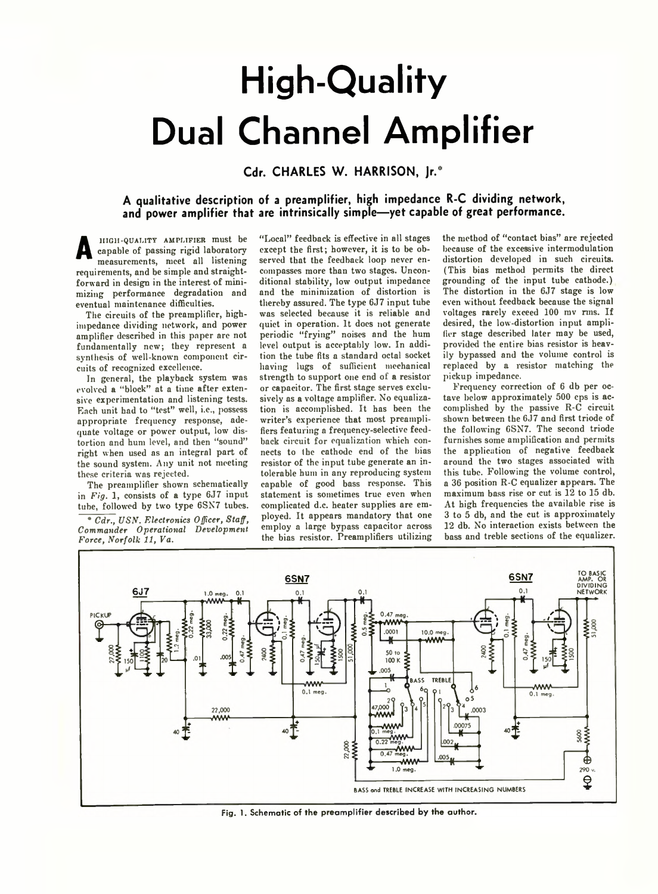## **High-Quality Dual Channel Amplifier**

## **Cdr. CHARLES W. HARRISON, Jr.\***

## **A qualitative description of a preamplifier, high impedance R-C dividing network, and power amplifier that are intrinsically simple— yet capable of great performance.**

**A** HIGH-QUALITY AMPLIFIER must be capable of passing rigid laboratory measurements, meet all listening requirements, and be simple and straightforward in design in the interest of minimizing performance degradation and eventual maintenance difficulties.

The circuits of the preamplifier, highimpedance dividing network, and power amplifier described in this paper are not fundamentally new; they represent a synthesis of well-known component circuits of recognized excellence.

In general, the playback system was evolved a "block" at a time after extensive experimentation and listening tests. Each unit had to "test" well, i.e., possess appropriate frequency response, adequate voltage or power output, low distortion and hum level, and then "sound" right when used as an integral part of the sound system. Any unit not meeting these criteria was rejected.

The preamplifier shown schematically in *Fig.* 1, consists of a type 6J7 input tube, followed by two type 6SN7 tubes.

\* *Cdr., VSN. Electronics Officer, Staff, Commander Operational Development Force, Norfolk 11, Va.*

"Local" feedback is effective in all stages except the first; however, it is to be observed that the feedback loop never encompasses more than two stages. Unconditional stability, low output impedance and the minimization of distortion is thereby assured. The type 6J7 input tube was selected because it is reliable and quiet in operation. It does not generate periodic "frying" noises and the hum level output is acceptably low. In addition the tube fits a standard octal socket having lugs of sufficient mechanical strength to support one end of a resistor or capacitor. The first stage serves exclusively as a voltage amplifier. No equalization is accomplished. It has been the writer's experience that most preamplifiers featuring a frequency-selective feedback circuit for equalization which connects to the cathode end of the bias resistor of the input tube generate an intolerable hum in any reproducing system capable of good bass response. This statement is sometimes true even when complicated d.c. heater supplies are employed. It appears mandatory that one employ a large bypass capacitor across the bias resistor. Preamplifiers utilizing the method of "contact bias" are rejected because of the excessive intermodulation distortion developed in such circuits. (This bias method permits the direct grounding of the input tube cathode.) The distortion in the 6J7 stage is low even without feedback because the signal voltages rarely exceed 100 mv rms. If desired, the low-distortion input amplifier stage described later may be used, provided the entire bias resistor is heavily bypassed and the volume control is replaced by a resistor matching the pickup impedance.

Frequency correction of 6 db per octave below approximately 500 cps is accomplished by the passive R-C circuit shown between the 6J7 and first triode of the following 6SN7. The second triode furnishes some amplification and permits the application of negative feedback around the two stages associated with this tube. Following the volume control, a 36 position R-C equalizer appears. The maximum bass rise or cut is 12 to 15 db. At high frequencies the available rise is 3 to 5 db, and the cut is approximately 12 db. No interaction exists between the bass and treble sections of the equalizer.



Fig. 1. Schematic of the preamplifier described by the author.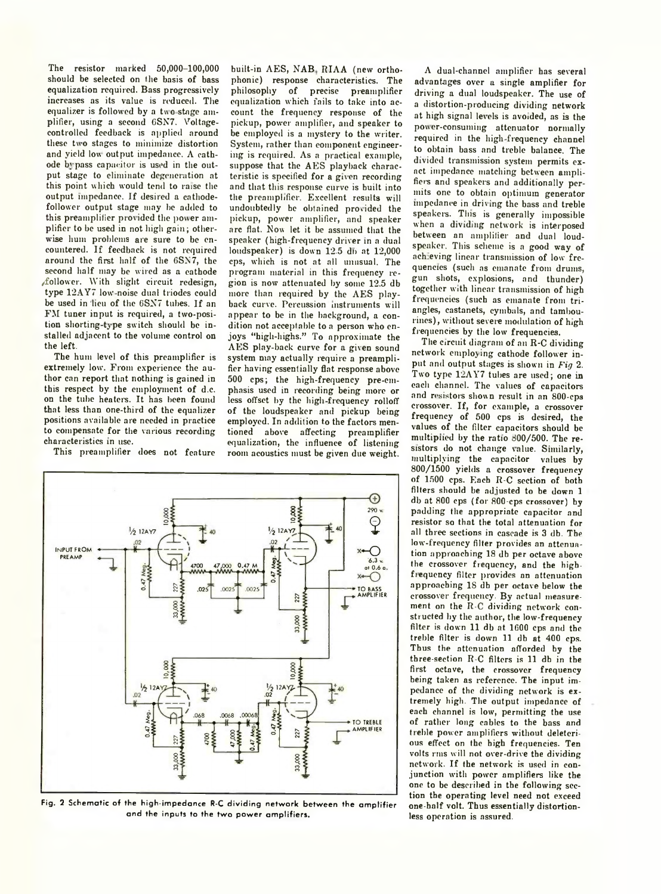The resistor marked 50,000-100,000 should be selected on the basis of bass equalization required. Bass progressively increases as its value is reduced. The equalizer is followed by a two stage amplifier, using a second GSN7. Voltagecontrolled feedback is applied around these two stages to minimize distortion and yield low output impedance. A cathode bi pass capacitor is used in the output stage to eliminate degeneration at this point which would tend to raise the output impedance. If desired a cathodefollower output stage may be added to this preamplifier provided the power amplifier to be used in not high gain; otherwise hum problems are sure to be encountered. If feedback is not required around the first half of the 6SN7, the second half may be wired as a cathode /follower. With slight circuit redesign, type 12AY7 low-noise dual triodes could be used in lieu of the 6SX7 tubes. If an FM tuner input is required, a two-position shorting-type switch should be installed adjacent to the volume control on the left.

The hum level of this preamplifier is extremely low. From experience the author can report that nothing is gained in this respect by the employment of d.c. on the tube heaters. It has been found that less than one-third of the equalizer positions available are needed in practice to compensate for the various recording characteristics in use.

This preamplifier does not feature

built-in AES, NAB RIAA (new orthophonic) response characteristics. The philosophy of precise preamplifier equalization which fails to take into account the frequency response of the pickup, power amplifier, and speaker to be employed is a mystery to the writer. System, rather than component engineering is required. As a practical example, suppose that the AES playback characteristic is specified for a given recording and that this response curve is built into the preamplifier. Excellent results will undoubtedly be obtained provided the pickup, power amplifier, and speaker arc flat. Now let it be assumed that the speaker (high-frequency driver in a dual  $loudspear$ ) is down  $12.5$  db at  $12,000$ cps, which is not at all unusual. The program material in this frequency region is now attenuated by some 12.5 db more than required by the AES playback curve. Percussion instruments will appear to be in the background, a condition not acceptable to a person who enjoys "high-highs." To approximate the AES play-back curve for a given sound system may actually require a preamplifier having essentially flat response above 500 cps; the high-frequency pre-emphasis used in recording being more or less offset by the high-frequency rolloff of the loudspeaker and pickup being employed. In addition to the factors mentioned above affecting preamplifier equalization, the influence of listening room acoustics must be given due weight.



**Fig. 2 Schematic of the high-impedance R-C dividing network between the amplifier and the inputs to the two power amplifiers.**

A dual-channel amplifier has several advantages over a single amplifier for driving a dual loudspeaker. The use of a distortion-producing dividing network at high signal levels is avoided, as is the power-consuming attenuator normally required in the high-frequency channel to obtain bass and treble balance. The divided transmission system permits exact impedance matching between amplifiers and speakers and additionally permits one to obtain optimum generator impedance in driving the bass and treble speakers. This is generally impossible when a dividing network is interposed between an amplifier and dual loudspeaker. This scheme is a good way of achieving linear transmission of low frequencies (such as emanate from drums, gun shots, explosions, and thunder) together with linear transmission of high frequencies (such as emanate from triangles, castanets, cymbals, and tambourines), without severe modulation of high frequencies by the low frequencies.

The circuit diagram of an K-C dividing network employing cathode follower input and output stages is shown in *Fig* 2. Two type 12AY7 tubes are used; one in each channel. The values of capacitors and resistors shown result in an 800-cps crossover. If, for example, a crossover frequency of 500 cps is desired, the values of the filter capacitors should be multiplied by the ratio 800/500. The resistors do not change value. Similarly, multiplying the capacitor values by 800/1500 yields a crossover frequency of 1500 cps. Each R-C section of both filters should be adjusted to be down 1 db at 800 cps (for 800-cps crossover) by padding the appropriate capacitor and resistor so that the total attenuation for all three sections in cascade is 3 db. The low-frequency filter provides an attenuation approaching 18 db per octave above the crossover frequency, and the highfiequency filter provides an attenuation approaching 18 db per octave below the crossover frequency. By actual measurement on the R-C dividing network constructed by the author, the low-frequency filter is down 11 db at 1600 cps and the treble filter is down 11 db at 400 cps. Thus the attenuation afforded by the three-section R-C filters is 11 db in the first octave, the crossover frequency being taken as reference. The input impedance of the dividing network is extremely high. The output impedance of each channel is low, permitting the use of rather long cables to the bass and treble power amplifiers without deleterious effect on the high frequencies. Ten volts rms will not over-drive the dividing network. If the network is used in conjunction with power amplifiers like the one to be described in the following section the operating level need not exceed one-half volt. Thus essentially distortionless operation is assured.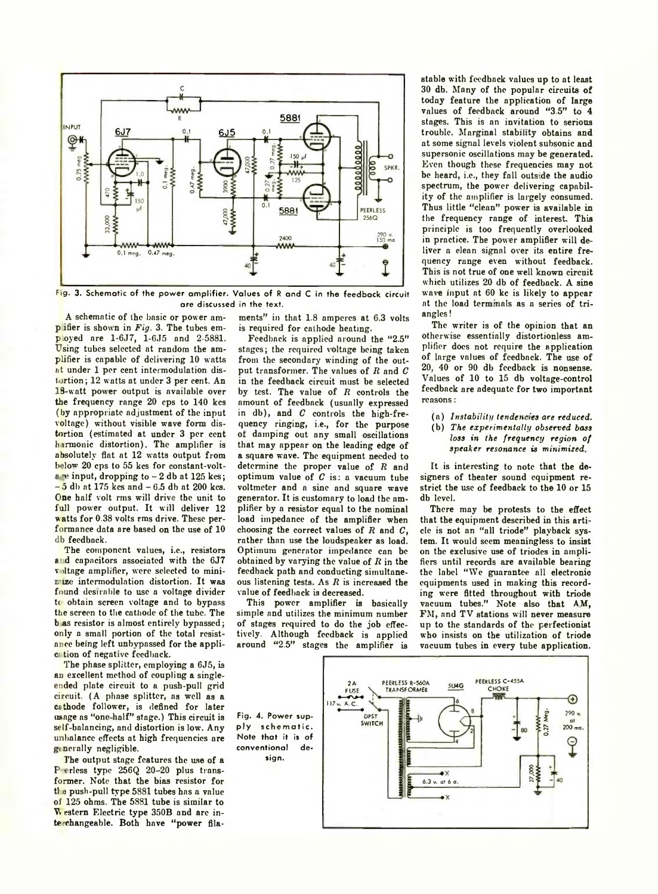

**Fig. 3. Schematic of the power amplifier. Values of R and C in the feedback circuit are discussed in the text.**

A schematic of the basic or power ampifier is shown in *Fig.* 3. The tubes employed are 1-6J7, 1-6J5 and 2-5881. Using tubes selected at random the amplifier is capable of delirering 10 watts at under 1 per cent intermodulation distortion; 12 watts at under 3 per cent. An 18-watt power output is available over the frequency range 20 cps to 140 kcs (by appropriate adjustment of the input voltage) without visible wave form distortion (estimated at under 3 per cent harmonic distortion). The amplifier is absolutely flat at 12 watts output from below 20 cps to 55 kcs for constant-voltare input, dropping to  $-2$  db at 125 kcs;  $-5$  db at 175 kcs and  $-6.5$  db at 200 kcs. One half volt rms will drive the unit to full power output. It will deliver 12 watts for 0.38 volts rms drive. These performance data are based on the use of 10 db feedback.

The component values, i.e., resistors and capacitors associated with the 6J7 voltage amplifier, were selected to minimize intermodulation distortion. It was found desirable to use a voltage divider to obtain screen voltage and to bypass the screen to the cathode of the tube. The b as resistor is almost entirely bypassed; only a small portion of the total resistance being left unbypassed for the applici tion of negative feedback.

The phase splitter, employing a 6J5, is an excellent method of coupling a singleended plate circuit to a push-pull grid circuit. (A phase splitter, as well as a cathode follower, is defined for later usage as "one-half" stage.) This circuit is self-balancing, and distortion is low. Any unbalance effects at high frequencies are g nerally negligible.

The output stage features the use of a P erless type 256Q 20-20 plus transformer. Note that the bias resistor for  $t_{\text{lab}}$  push-pull type 5881 tubes has a value of 125 ohms. The 5881 tube is similar to V. estern Electric type 350B and are interchangeable. Both have "power fila-

ments" in that 1.8 amperes at 6.3 volts is required for cathode heating.

Feedback is applied around the "2.5" stages; the required voltage being taken from the secondary winding of the output transformer. The values of  $R$  and  $C$ in the feedback circuit must be selected by test. The value of *R* controls the amount of feedback (usually expressed in db), and *C* controls the high-frequency ringing, i.e., for the purpose of damping out any small oscillations that may appear on the leading edge of a square wave. The equipment needed to determine the proper value of *R* and optimum value of *C* is: a vacuum tube voltmeter and a sine and square wave generator. It is customary to load the amplifier by a resistor equal to the nominal load impedance of the amplifier when choosing the correct values of *R* and *C,* rather than use the loudspeaker as load. Optimum generator impedance can be obtained by varying the value of *R* in the feedback path and conducting simultaneous listening tests. As *R* is increased the value of feedback is decreased.

This power amplifier is basically simple and utilizes the minimum number of stages required to do the job effectively. Although feedback is applied around "2.5" stages the amplifier is stable with feedback values up to at least 30 db. Many of the popular circuits of today feature the application of large values of feedback around " $3.5$ " to  $4$ stages. This is an invitation to serious trouble. Marginal stability obtains and at some signal levels violent subsonic and supersonic oscillations may be generated. Even though these frequencies may not be heard, i.e., they fall outside the audio spectrum, the power delivering capability of the amplifier is largely consumed. Thus little "clean" power is available in the frequency range of interest. This principle is too frequently overlooked in practice. The power amplifier will deliver a elean signal over its entire frequency range even without feedback. This is not true of one well known circuit which utilizes 20 db of feedback. A sine ware input at 60 kc is likely to appear at the load terminals as a series of triangles!

The writer is of the opinion that an otherwise essentially distortionless amplifier does not require the application of large values of feedback. The use of 20, 40 or 90 db feedback is nonsense. Values of 10 to 15 db voltage-control feedback are adequate for two important reasons:

(a) *Instability tendencies are reduced.* (b) *The experimentally observed bass loss in the frequency region of speaker resonance is minimised.*

It is interesting to note that the designers of theater sound equipment restrict the use of feedback to the 10 or 15 db level.

There may be protests to the effect that the equipment described in this article is not an "all triode" playback system. It would seem meaningless to insist on the exclusive use of triodes in amplifiers until records are available bearing the label " We guarantee all electronic equipments used in making this recording were fitted throughout with triode vacuum tubes." Note also that AM, FM, and TV stations will never measure up to the standards of the perfectionist who insists on the utilization of triode vacuum tubes in every tube application.



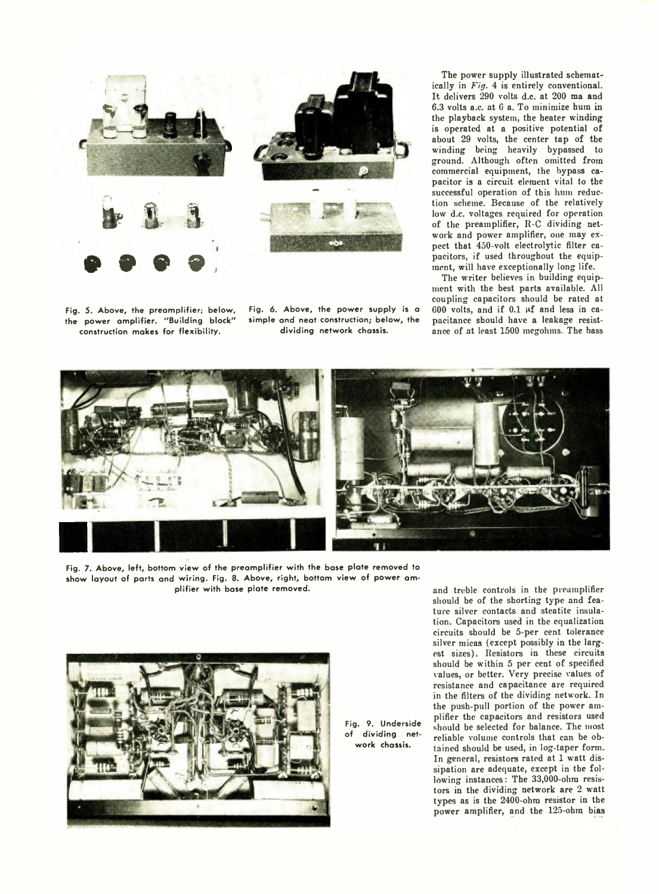

**Fig. 5. Above, the preamplifier; below, the power amplifier. "Building block" construction makes for flexibility.**

**Fig. 6. Above, the power supply is a simple and neat construction; below, the dividing network chassis.**

The power supply illustrated schematically in *Fig.* 4 is entirely conventional. It delivers 290 volts d.c. at 200 ma and 6.3 volts a.c. at 6 a. To minimize hum in the playback system, the heater winding is operated at a positive potential of about 29 volts, the center tap of the winding being heavily bypassed to ground. Although often omitted from commercial equipment, the bypass capacitor is a circuit element vital to the successful operation of this hum reduction scheme. Because of the relatively low d.c. voltages required for operation of the preamplifier, R-C dividing network and power amplifier, one may expect that 450-volt electrolytic filter capacitors, if used throughout the equipment, will have exceptionally long life.

The writer believes in building equipment with the best parts available. All coupling capacitors should be rated at  $600$  volts, and if  $0.1$  µf and less in capacitance should have a leakage resistance of at least 1500 megohms. The bass



**Fig. 7. Above, left, bottom view of the preamplifier with the base plate removed to show layout of parts and wiring. Fig. 8. Above, right, bottom view of power amplifier with base plate removed.**



**Fig. 9. Underside of dividing network chassis.**

and treble controls in the preamplifier should be of the shorting type and feature silver contacts and steatite insulation. Capacitors used in the equalization circuits should be 5-per cent tolerance silver micas (except possibly in the largest sizes). Resistors in these circuits should be within 5 per cent of specified values, or better. Very precise values of resistance and capacitance are required in the filters of the dividing network. In the push-pull portion of the power amplifier the capacitors and resistors used should be selected for balance. The most reliable volume controls that can be obtained should be used, in log-taper form. In general, resistors rated at 1 watt dissipation are adequate, except in the following instances: The 33,000-ohm resistors in the dividing network are 2 watt types as is the 2400-ohm resistor in the power amplifier, and the 125-ohm bias